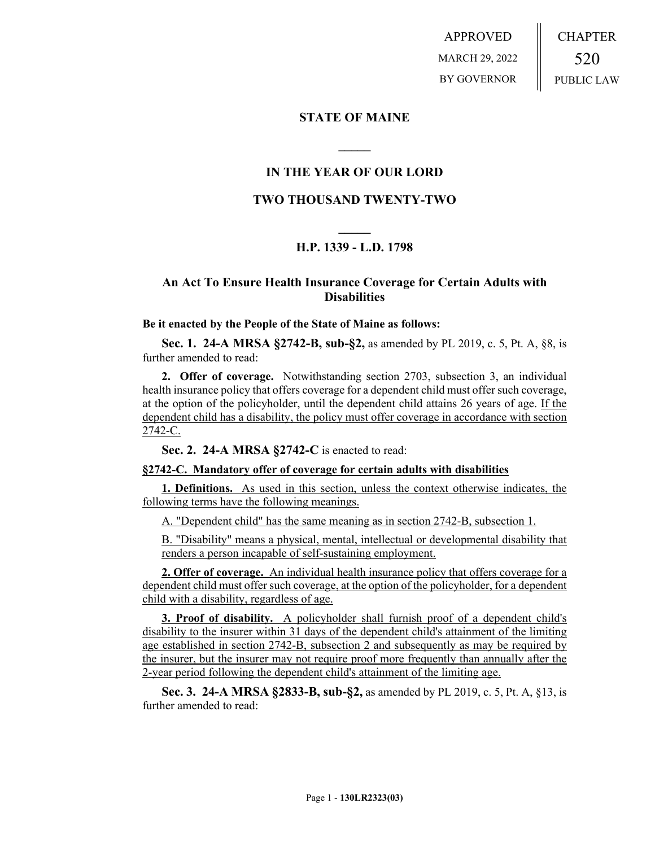APPROVED MARCH 29, 2022 BY GOVERNOR CHAPTER 520 PUBLIC LAW

# **STATE OF MAINE**

## **IN THE YEAR OF OUR LORD**

**\_\_\_\_\_**

## **TWO THOUSAND TWENTY-TWO**

# **\_\_\_\_\_ H.P. 1339 - L.D. 1798**

## **An Act To Ensure Health Insurance Coverage for Certain Adults with Disabilities**

#### **Be it enacted by the People of the State of Maine as follows:**

**Sec. 1. 24-A MRSA §2742-B, sub-§2,** as amended by PL 2019, c. 5, Pt. A, §8, is further amended to read:

**2. Offer of coverage.** Notwithstanding section 2703, subsection 3, an individual health insurance policy that offers coverage for a dependent child must offer such coverage, at the option of the policyholder, until the dependent child attains 26 years of age. If the dependent child has a disability, the policy must offer coverage in accordance with section 2742-C.

**Sec. 2. 24-A MRSA §2742-C** is enacted to read:

#### **§2742-C. Mandatory offer of coverage for certain adults with disabilities**

**1. Definitions.** As used in this section, unless the context otherwise indicates, the following terms have the following meanings.

A. "Dependent child" has the same meaning as in section 2742-B, subsection 1.

B. "Disability" means a physical, mental, intellectual or developmental disability that renders a person incapable of self-sustaining employment.

**2. Offer of coverage.** An individual health insurance policy that offers coverage for a dependent child must offer such coverage, at the option of the policyholder, for a dependent child with a disability, regardless of age.

**3. Proof of disability.** A policyholder shall furnish proof of a dependent child's disability to the insurer within 31 days of the dependent child's attainment of the limiting age established in section 2742-B, subsection 2 and subsequently as may be required by the insurer, but the insurer may not require proof more frequently than annually after the 2-year period following the dependent child's attainment of the limiting age.

**Sec. 3. 24-A MRSA §2833-B, sub-§2,** as amended by PL 2019, c. 5, Pt. A, §13, is further amended to read: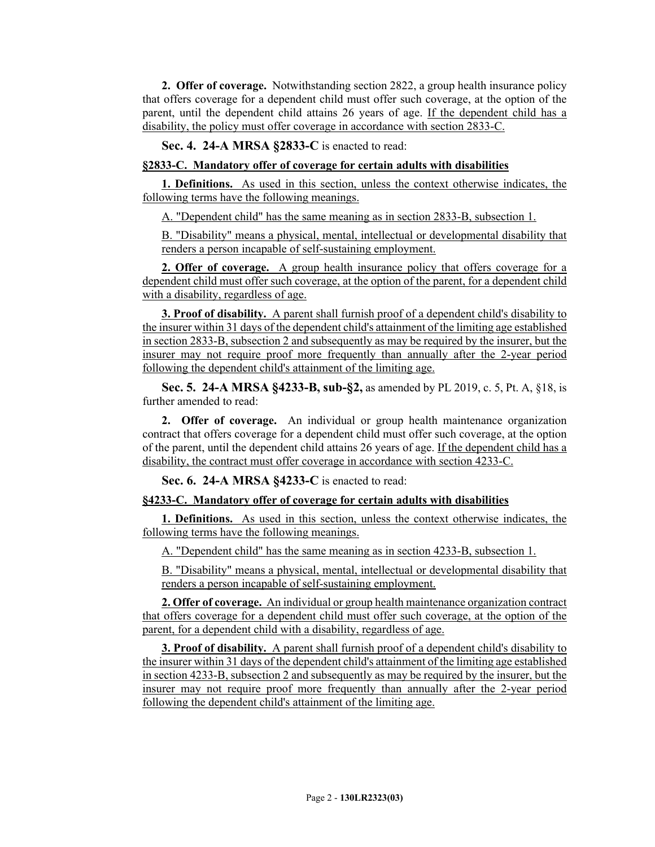**2. Offer of coverage.** Notwithstanding section 2822, a group health insurance policy that offers coverage for a dependent child must offer such coverage, at the option of the parent, until the dependent child attains 26 years of age. If the dependent child has a disability, the policy must offer coverage in accordance with section 2833-C.

**Sec. 4. 24-A MRSA §2833-C** is enacted to read:

## **§2833-C. Mandatory offer of coverage for certain adults with disabilities**

**1. Definitions.** As used in this section, unless the context otherwise indicates, the following terms have the following meanings.

A. "Dependent child" has the same meaning as in section 2833-B, subsection 1.

B. "Disability" means a physical, mental, intellectual or developmental disability that renders a person incapable of self-sustaining employment.

**2. Offer of coverage.** A group health insurance policy that offers coverage for a dependent child must offer such coverage, at the option of the parent, for a dependent child with a disability, regardless of age.

**3. Proof of disability.** A parent shall furnish proof of a dependent child's disability to the insurer within 31 days of the dependent child's attainment of the limiting age established in section 2833-B, subsection 2 and subsequently as may be required by the insurer, but the insurer may not require proof more frequently than annually after the 2-year period following the dependent child's attainment of the limiting age.

**Sec. 5. 24-A MRSA §4233-B, sub-§2,** as amended by PL 2019, c. 5, Pt. A, §18, is further amended to read:

**2. Offer of coverage.** An individual or group health maintenance organization contract that offers coverage for a dependent child must offer such coverage, at the option of the parent, until the dependent child attains 26 years of age. If the dependent child has a disability, the contract must offer coverage in accordance with section 4233-C.

**Sec. 6. 24-A MRSA §4233-C** is enacted to read:

## **§4233-C. Mandatory offer of coverage for certain adults with disabilities**

**1. Definitions.** As used in this section, unless the context otherwise indicates, the following terms have the following meanings.

A. "Dependent child" has the same meaning as in section 4233-B, subsection 1.

B. "Disability" means a physical, mental, intellectual or developmental disability that renders a person incapable of self-sustaining employment.

**2. Offer of coverage.** An individual or group health maintenance organization contract that offers coverage for a dependent child must offer such coverage, at the option of the parent, for a dependent child with a disability, regardless of age.

**3. Proof of disability.** A parent shall furnish proof of a dependent child's disability to the insurer within 31 days of the dependent child's attainment of the limiting age established in section 4233-B, subsection 2 and subsequently as may be required by the insurer, but the insurer may not require proof more frequently than annually after the 2-year period following the dependent child's attainment of the limiting age.